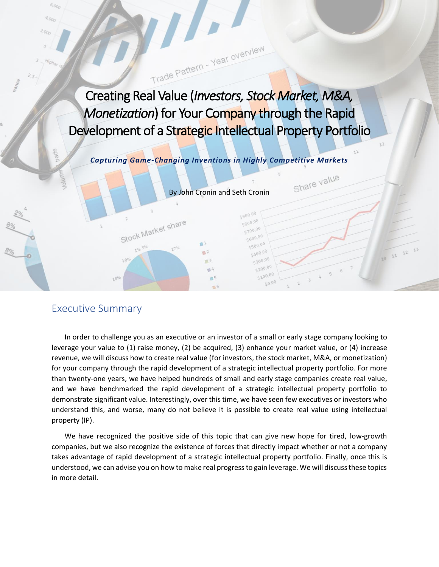Creating Real Value (*Investors, Stock Market, M&A, Monetization*) for Your Company through the Rapid Development of a Strategic Intellectual Property Portfolio

Trade Pattern - Year overview

*Capturing Game-Changing Inventions in Highly Competitive Markets*

By John Cronin and Seth Cronin

 $m<sub>3</sub>$ 

 $\blacksquare$ 

5800.00 \$700.00  $5600,00$  $-500.0$ 

 $5400,00$ 

\$300.0

 $5200,00$ \$100,00

 $50,00$ 

Share value

 $12$ 

 $11$ 

## Executive Summary

<sup>2</sup><br>Stock Market share

In order to challenge you as an executive or an investor of a small or early stage company looking to leverage your value to (1) raise money, (2) be acquired, (3) enhance your market value, or (4) increase revenue, we will discuss how to create real value (for investors, the stock market, M&A, or monetization) for your company through the rapid development of a strategic intellectual property portfolio. For more than twenty-one years, we have helped hundreds of small and early stage companies create real value, and we have benchmarked the rapid development of a strategic intellectual property portfolio to demonstrate significant value. Interestingly, over this time, we have seen few executives or investors who understand this, and worse, many do not believe it is possible to create real value using intellectual property (IP).

We have recognized the positive side of this topic that can give new hope for tired, low-growth companies, but we also recognize the existence of forces that directly impact whether or not a company takes advantage of rapid development of a strategic intellectual property portfolio. Finally, once this is understood, we can advise you on how to make real progress to gain leverage. We will discuss these topics in more detail.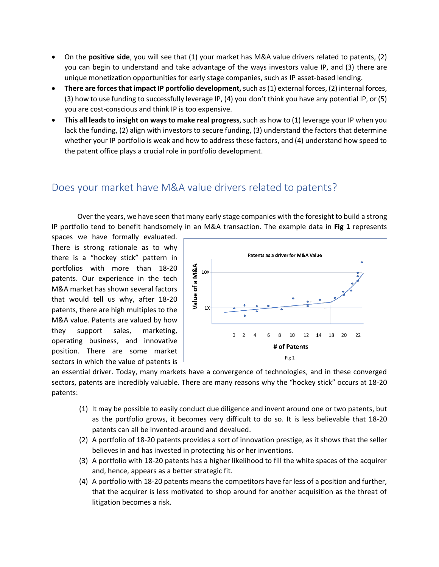- On the **positive side**, you will see that (1) your market has M&A value drivers related to patents, (2) you can begin to understand and take advantage of the ways investors value IP, and (3) there are unique monetization opportunities for early stage companies, such as IP asset-based lending.
- **There are forces that impact IP portfolio development,**such as (1) external forces, (2) internal forces, (3) how to use funding to successfully leverage IP, (4) you don't think you have any potential IP, or (5) you are cost-conscious and think IP is too expensive.
- **This all leads to insight on ways to make real progress**, such as how to (1) leverage your IP when you lack the funding, (2) align with investors to secure funding, (3) understand the factors that determine whether your IP portfolio is weak and how to address these factors, and (4) understand how speed to the patent office plays a crucial role in portfolio development.

## Does your market have M&A value drivers related to patents?

Over the years, we have seen that many early stage companies with the foresight to build a strong IP portfolio tend to benefit handsomely in an M&A transaction. The example data in **Fig 1** represents

spaces we have formally evaluated. There is strong rationale as to why there is a "hockey stick" pattern in portfolios with more than 18-20 patents. Our experience in the tech M&A market has shown several factors that would tell us why, after 18-20 patents, there are high multiples to the M&A value. Patents are valued by how they support sales, marketing, operating business, and innovative position. There are some market sectors in which the value of patents is



an essential driver. Today, many markets have a convergence of technologies, and in these converged sectors, patents are incredibly valuable. There are many reasons why the "hockey stick" occurs at 18-20 patents:

- (1) It may be possible to easily conduct due diligence and invent around one or two patents, but as the portfolio grows, it becomes very difficult to do so. It is less believable that 18-20 patents can all be invented-around and devalued.
- (2) A portfolio of 18-20 patents provides a sort of innovation prestige, as it shows that the seller believes in and has invested in protecting his or her inventions.
- (3) A portfolio with 18-20 patents has a higher likelihood to fill the white spaces of the acquirer and, hence, appears as a better strategic fit.
- (4) A portfolio with 18-20 patents means the competitors have far less of a position and further, that the acquirer is less motivated to shop around for another acquisition as the threat of litigation becomes a risk.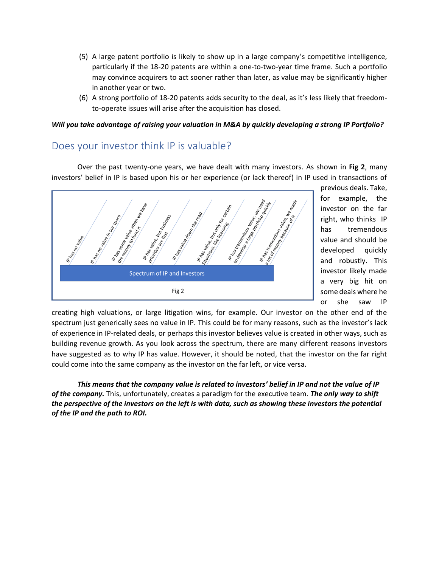- (5) A large patent portfolio is likely to show up in a large company's competitive intelligence, particularly if the 18-20 patents are within a one-to-two-year time frame. Such a portfolio may convince acquirers to act sooner rather than later, as value may be significantly higher in another year or two.
- (6) A strong portfolio of 18-20 patents adds security to the deal, as it's less likely that freedomto-operate issues will arise after the acquisition has closed.

#### *Will you take advantage of raising your valuation in M&A by quickly developing a strong IP Portfolio?*

#### Does your investor think IP is valuable?

Over the past twenty-one years, we have dealt with many investors. As shown in **Fig 2**, many investors' belief in IP is based upon his or her experience (or lack thereof) in IP used in transactions of



previous deals. Take, for example, the investor on the far right, who thinks IP has tremendous value and should be developed quickly and robustly. This investor likely made a very big hit on some deals where he or she saw IP

creating high valuations, or large litigation wins, for example. Our investor on the other end of the spectrum just generically sees no value in IP. This could be for many reasons, such as the investor's lack of experience in IP-related deals, or perhaps this investor believes value is created in other ways, such as building revenue growth. As you look across the spectrum, there are many different reasons investors have suggested as to why IP has value. However, it should be noted, that the investor on the far right could come into the same company as the investor on the far left, or vice versa.

*This means that the company value is related to investors' belief in IP and not the value of IP of the company.* This, unfortunately, creates a paradigm for the executive team. *The only way to shift the perspective of the investors on the left is with data, such as showing these investors the potential of the IP and the path to ROI.*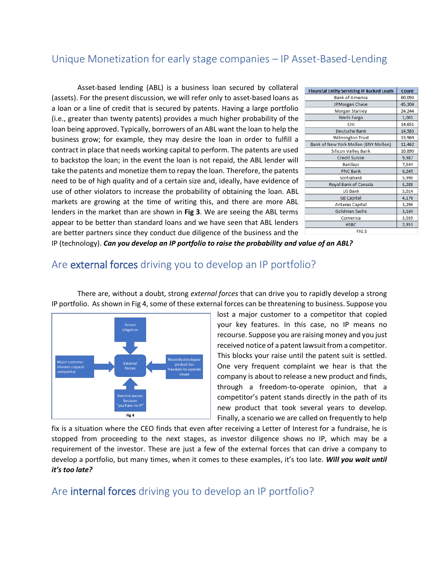## Unique Monetization for early stage companies – IP Asset-Based-Lending

Asset-based lending (ABL) is a business loan secured by collateral (assets). For the present discussion, we will refer only to asset-based loans as a loan or a line of credit that is secured by patents. Having a large portfolio (i.e., greater than twenty patents) provides a much higher probability of the loan being approved. Typically, borrowers of an ABL want the loan to help the business grow; for example, they may desire the loan in order to fulfill a contract in place that needs working capital to perform. The patents are used to backstop the loan; in the event the loan is not repaid, the ABL lender will take the patents and monetize them to repay the loan. Therefore, the patents need to be of high quality and of a certain size and, ideally, have evidence of use of other violators to increase the probability of obtaining the loan. ABL markets are growing at the time of writing this, and there are more ABL lenders in the market than are shown in **Fig 3**. We are seeing the ABL terms appear to be better than standard loans and we have seen that ABL lenders are better partners since they conduct due diligence of the business and the

| <b>Financial Entity Servicing IP Backed Loads</b> | Count  |
|---------------------------------------------------|--------|
| <b>Bank of America</b>                            | 60,093 |
| JPMorgan Chase                                    | 45,304 |
| <b>Morgan Stanley</b>                             | 24,244 |
| <b>Wells Fargo</b>                                | 1,001  |
| Citi                                              | 14,651 |
| <b>Deutsche Bank</b>                              | 14,583 |
| <b>Wilmington Trust</b>                           | 13,969 |
| Bank of New York Mellon (BNY Mellon)              | 11,462 |
| <b>Silicon Valley Bank</b>                        | 10,890 |
| <b>Credit Suisse</b>                              | 9,987  |
| <b>Barclays</b>                                   | 7,544  |
| <b>PNC Bank</b>                                   | 6,249  |
| Scotiabank                                        | 5,990  |
| Royal Bank of Canada                              | 5,288  |
| <b>US Bank</b>                                    | 5,014  |
| <b>GE Capital</b>                                 | 4,176  |
| <b>Antares Capital</b>                            | 3,296  |
| <b>Goldman Sachs</b>                              | 3,164  |
| Comerica                                          | 3,039  |
| <b>HSBC</b>                                       | 2,953  |
| FIG <sub>3</sub>                                  |        |

IP (technology). *Can you develop an IP portfolio to raise the probability and value of an ABL?*

## Are external forces driving you to develop an IP portfolio?

There are, without a doubt, strong *external forces* that can drive you to rapidly develop a strong IP portfolio. As shown in Fig 4, some of these external forces can be threatening to business. Suppose you



lost a major customer to a competitor that copied your key features. In this case, no IP means no recourse. Suppose you are raising money and you just received notice of a patent lawsuit from a competitor. This blocks your raise until the patent suit is settled. One very frequent complaint we hear is that the company is about to release a new product and finds, through a freedom-to-operate opinion, that a competitor's patent stands directly in the path of its new product that took several years to develop. Finally, a scenario we are called on frequently to help

fix is a situation where the CEO finds that even after receiving a Letter of Interest for a fundraise, he is stopped from proceeding to the next stages, as investor diligence shows no IP, which may be a requirement of the investor. These are just a few of the external forces that can drive a company to develop a portfolio, but many times, when it comes to these examples, it's too late. *Will you wait until it's too late?*

Are internal forces driving you to develop an IP portfolio?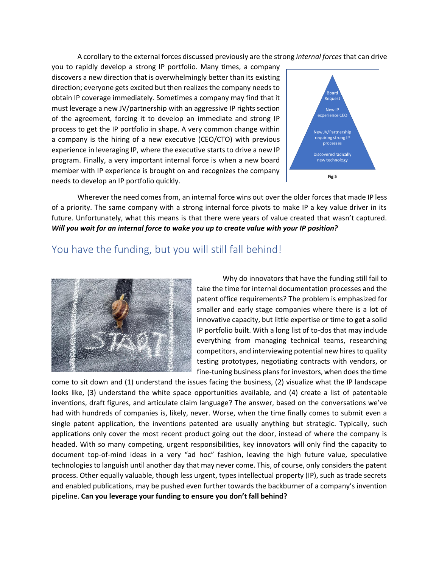A corollary to the external forces discussed previously are the strong *internal forces* that can drive

you to rapidly develop a strong IP portfolio. Many times, a company discovers a new direction that is overwhelmingly better than its existing direction; everyone gets excited but then realizes the company needs to obtain IP coverage immediately. Sometimes a company may find that it must leverage a new JV/partnership with an aggressive IP rights section of the agreement, forcing it to develop an immediate and strong IP process to get the IP portfolio in shape. A very common change within a company is the hiring of a new executive (CEO/CTO) with previous experience in leveraging IP, where the executive starts to drive a new IP program. Finally, a very important internal force is when a new board member with IP experience is brought on and recognizes the company needs to develop an IP portfolio quickly.

![](_page_4_Figure_2.jpeg)

Wherever the need comes from, an internal force wins out over the older forces that made IP less of a priority. The same company with a strong internal force pivots to make IP a key value driver in its future. Unfortunately, what this means is that there were years of value created that wasn't captured. *Will you wait for an internal force to wake you up to create value with your IP position?*

### You have the funding, but you will still fall behind!

![](_page_4_Picture_5.jpeg)

Why do innovators that have the funding still fail to take the time for internal documentation processes and the patent office requirements? The problem is emphasized for smaller and early stage companies where there is a lot of innovative capacity, but little expertise or time to get a solid IP portfolio built. With a long list of to-dos that may include everything from managing technical teams, researching competitors, and interviewing potential new hires to quality testing prototypes, negotiating contracts with vendors, or fine-tuning business plans for investors, when does the time

come to sit down and (1) understand the issues facing the business, (2) visualize what the IP landscape looks like, (3) understand the white space opportunities available, and (4) create a list of patentable inventions, draft figures, and articulate claim language? The answer, based on the conversations we've had with hundreds of companies is, likely, never. Worse, when the time finally comes to submit even a single patent application, the inventions patented are usually anything but strategic. Typically, such applications only cover the most recent product going out the door, instead of where the company is headed. With so many competing, urgent responsibilities, key innovators will only find the capacity to document top-of-mind ideas in a very "ad hoc" fashion, leaving the high future value, speculative technologies to languish until another day that may never come. This, of course, only considers the patent process. Other equally valuable, though less urgent, types intellectual property (IP), such as trade secrets and enabled publications, may be pushed even further towards the backburner of a company's invention pipeline. **Can you leverage your funding to ensure you don't fall behind?**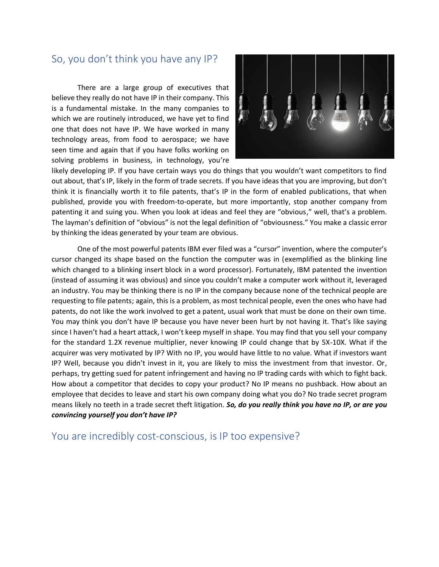## So, you don't think you have any IP?

There are a large group of executives that believe they really do not have IP in their company. This is a fundamental mistake. In the many companies to which we are routinely introduced, we have yet to find one that does not have IP. We have worked in many technology areas, from food to aerospace; we have seen time and again that if you have folks working on solving problems in business, in technology, you're

![](_page_5_Picture_2.jpeg)

likely developing IP. If you have certain ways you do things that you wouldn't want competitors to find out about, that's IP, likely in the form of trade secrets. If you have ideas that you are improving, but don't think it is financially worth it to file patents, that's IP in the form of enabled publications, that when published, provide you with freedom-to-operate, but more importantly, stop another company from patenting it and suing you. When you look at ideas and feel they are "obvious," well, that's a problem. The layman's definition of "obvious" is not the legal definition of "obviousness." You make a classic error by thinking the ideas generated by your team are obvious.

One of the most powerful patents IBM ever filed was a "cursor" invention, where the computer's cursor changed its shape based on the function the computer was in (exemplified as the blinking line which changed to a blinking insert block in a word processor). Fortunately, IBM patented the invention (instead of assuming it was obvious) and since you couldn't make a computer work without it, leveraged an industry. You may be thinking there is no IP in the company because none of the technical people are requesting to file patents; again, this is a problem, as most technical people, even the ones who have had patents, do not like the work involved to get a patent, usual work that must be done on their own time. You may think you don't have IP because you have never been hurt by not having it. That's like saying since I haven't had a heart attack, I won't keep myself in shape. You may find that you sell your company for the standard 1.2X revenue multiplier, never knowing IP could change that by 5X-10X. What if the acquirer was very motivated by IP? With no IP, you would have little to no value. What if investors want IP? Well, because you didn't invest in it, you are likely to miss the investment from that investor. Or, perhaps, try getting sued for patent infringement and having no IP trading cards with which to fight back. How about a competitor that decides to copy your product? No IP means no pushback. How about an employee that decides to leave and start his own company doing what you do? No trade secret program means likely no teeth in a trade secret theft litigation. *So, do you really think you have no IP, or are you convincing yourself you don't have IP?*

You are incredibly cost-conscious, is IP too expensive?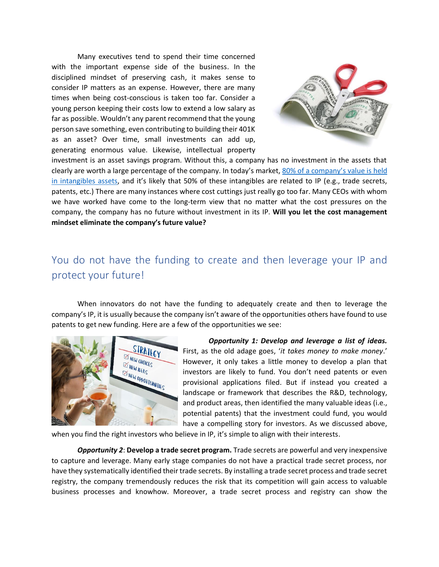Many executives tend to spend their time concerned with the important expense side of the business. In the disciplined mindset of preserving cash, it makes sense to consider IP matters as an expense. However, there are many times when being cost-conscious is taken too far. Consider a young person keeping their costs low to extend a low salary as far as possible. Wouldn't any parent recommend that the young person save something, even contributing to building their 401K as an asset? Over time, small investments can add up, generating enormous value. Likewise, intellectual property

![](_page_6_Picture_1.jpeg)

investment is an asset savings program. Without this, a company has no investment in the assets that clearly are worth a large percentage of the company. In today's market, [80% of a company's value is](https://www.businessintangibles.com/single-post/2015/03/11/Intangible-Assets-Increase-to-84-of-the-SP-500s-Value-in-2015-Report) held [in intangibles](https://www.businessintangibles.com/single-post/2015/03/11/Intangible-Assets-Increase-to-84-of-the-SP-500s-Value-in-2015-Report) assets, and it's likely that 50% of these intangibles are related to IP (e.g., trade secrets, patents, etc.) There are many instances where cost cuttings just really go too far. Many CEOs with whom we have worked have come to the long-term view that no matter what the cost pressures on the company, the company has no future without investment in its IP. **Will you let the cost management mindset eliminate the company's future value?**

# You do not have the funding to create and then leverage your IP and protect your future!

When innovators do not have the funding to adequately create and then to leverage the company's IP, it is usually because the company isn't aware of the opportunities others have found to use patents to get new funding. Here are a few of the opportunities we see:

![](_page_6_Picture_5.jpeg)

*Opportunity 1: Develop and leverage a list of ideas.* First, as the old adage goes, '*it takes money to make money*.' However, it only takes a little money to develop a plan that investors are likely to fund. You don't need patents or even provisional applications filed. But if instead you created a landscape or framework that describes the R&D, technology, and product areas, then identified the many valuable ideas (i.e., potential patents) that the investment could fund, you would have a compelling story for investors. As we discussed above,

when you find the right investors who believe in IP, it's simple to align with their interests.

*Opportunity 2*: **Develop a trade secret program.** Trade secrets are powerful and very inexpensive to capture and leverage. Many early stage companies do not have a practical trade secret process, nor have they systematically identified their trade secrets. By installing a trade secret process and trade secret registry, the company tremendously reduces the risk that its competition will gain access to valuable business processes and knowhow. Moreover, a trade secret process and registry can show the